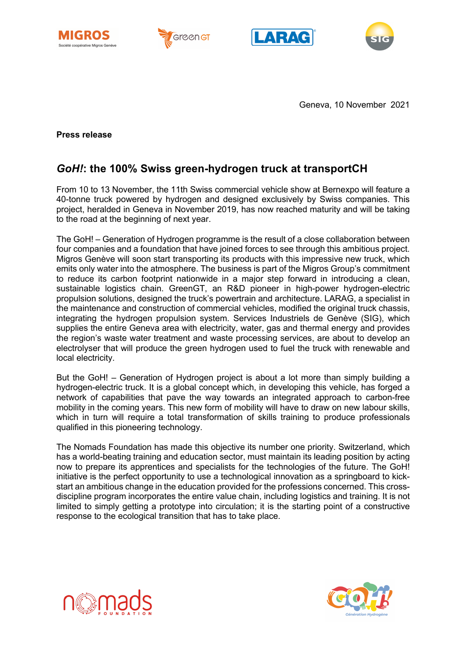







Geneva, 10 November 2021

**Press release**

# *GoH!***: the 100% Swiss green-hydrogen truck at transportCH**

From 10 to 13 November, the 11th Swiss commercial vehicle show at Bernexpo will feature a 40-tonne truck powered by hydrogen and designed exclusively by Swiss companies. This project, heralded in Geneva in November 2019, has now reached maturity and will be taking to the road at the beginning of next year.

The GoH! – Generation of Hydrogen programme is the result of a close collaboration between four companies and a foundation that have joined forces to see through this ambitious project. Migros Genève will soon start transporting its products with this impressive new truck, which emits only water into the atmosphere. The business is part of the Migros Group's commitment to reduce its carbon footprint nationwide in a major step forward in introducing a clean, sustainable logistics chain. GreenGT, an R&D pioneer in high-power hydrogen-electric propulsion solutions, designed the truck's powertrain and architecture. LARAG, a specialist in the maintenance and construction of commercial vehicles, modified the original truck chassis, integrating the hydrogen propulsion system. Services Industriels de Genève (SIG), which supplies the entire Geneva area with electricity, water, gas and thermal energy and provides the region's waste water treatment and waste processing services, are about to develop an electrolyser that will produce the green hydrogen used to fuel the truck with renewable and local electricity.

But the GoH! – Generation of Hydrogen project is about a lot more than simply building a hydrogen-electric truck. It is a global concept which, in developing this vehicle, has forged a network of capabilities that pave the way towards an integrated approach to carbon-free mobility in the coming years. This new form of mobility will have to draw on new labour skills, which in turn will require a total transformation of skills training to produce professionals qualified in this pioneering technology.

The Nomads Foundation has made this objective its number one priority. Switzerland, which has a world-beating training and education sector, must maintain its leading position by acting now to prepare its apprentices and specialists for the technologies of the future. The GoH! initiative is the perfect opportunity to use a technological innovation as a springboard to kickstart an ambitious change in the education provided for the professions concerned. This crossdiscipline program incorporates the entire value chain, including logistics and training. It is not limited to simply getting a prototype into circulation; it is the starting point of a constructive response to the ecological transition that has to take place.



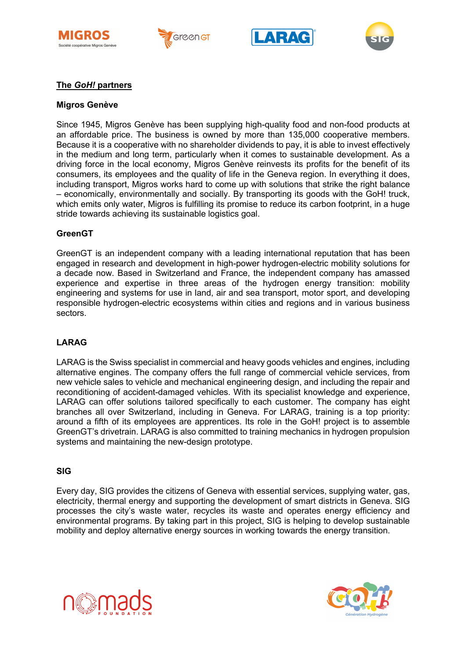







## **The** *GoH!* **partners**

#### **Migros Genève**

Since 1945, Migros Genève has been supplying high-quality food and non-food products at an affordable price. The business is owned by more than 135,000 cooperative members. Because it is a cooperative with no shareholder dividends to pay, it is able to invest effectively in the medium and long term, particularly when it comes to sustainable development. As a driving force in the local economy, Migros Genève reinvests its profits for the benefit of its consumers, its employees and the quality of life in the Geneva region. In everything it does, including transport, Migros works hard to come up with solutions that strike the right balance – economically, environmentally and socially. By transporting its goods with the GoH! truck, which emits only water, Migros is fulfilling its promise to reduce its carbon footprint, in a huge stride towards achieving its sustainable logistics goal.

#### **GreenGT**

GreenGT is an independent company with a leading international reputation that has been engaged in research and development in high-power hydrogen-electric mobility solutions for a decade now. Based in Switzerland and France, the independent company has amassed experience and expertise in three areas of the hydrogen energy transition: mobility engineering and systems for use in land, air and sea transport, motor sport, and developing responsible hydrogen-electric ecosystems within cities and regions and in various business sectors.

## **LARAG**

LARAG is the Swiss specialist in commercial and heavy goods vehicles and engines, including alternative engines. The company offers the full range of commercial vehicle services, from new vehicle sales to vehicle and mechanical engineering design, and including the repair and reconditioning of accident-damaged vehicles. With its specialist knowledge and experience, LARAG can offer solutions tailored specifically to each customer. The company has eight branches all over Switzerland, including in Geneva. For LARAG, training is a top priority: around a fifth of its employees are apprentices. Its role in the GoH! project is to assemble GreenGT's drivetrain. LARAG is also committed to training mechanics in hydrogen propulsion systems and maintaining the new-design prototype.

#### **SIG**

Every day, SIG provides the citizens of Geneva with essential services, supplying water, gas, electricity, thermal energy and supporting the development of smart districts in Geneva. SIG processes the city's waste water, recycles its waste and operates energy efficiency and environmental programs. By taking part in this project, SIG is helping to develop sustainable mobility and deploy alternative energy sources in working towards the energy transition.